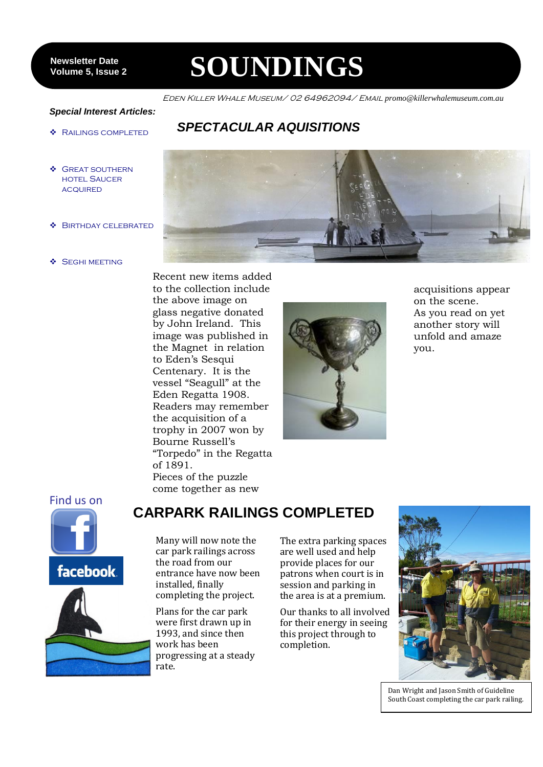5 **Volume 5, Issue 2 Newsletter Date**

# **SOUNDINGS**

Eden Killer Whale Museum/ 02 64962094/ Email *promo@killerwhalemuseum.com.au*

#### *Special Interest Articles:*

◆ RAILINGS COMPLETED

# *SPECTACULAR AQUISITIONS*

#### **❖** GREAT SOUTHERN **HOTEL SAUCER ACQUIRED**

Birthday celebrated

#### **❖ SEGHI MEETING**

Recent new items added to the collection include the above image on glass negative donated by John Ireland. This image was published in the Magnet in relation to Eden's Sesqui Centenary. It is the vessel "Seagull" at the Eden Regatta 1908. Readers may remember the acquisition of a trophy in 2007 won by Bourne Russell's "Torpedo" in the Regatta of 1891. Pieces of the puzzle come together as new



acquisitions appear on the scene. As you read on yet another story will unfold and amaze you.

# Find us on



# **CARPARK RAILINGS COMPLETED**

Many will now note the car park railings across the road from our entrance have now been installed, finally completing the project.

Plans for the car park were first drawn up in 1993, and since then work has been progressing at a steady rate.

The extra parking spaces are well used and help provide places for our patrons when court is in session and parking in the area is at a premium.

Our thanks to all involved for their energy in seeing this project through to completion.



Dan Wright and Jason Smith of Guideline South Coast completing the car park railing.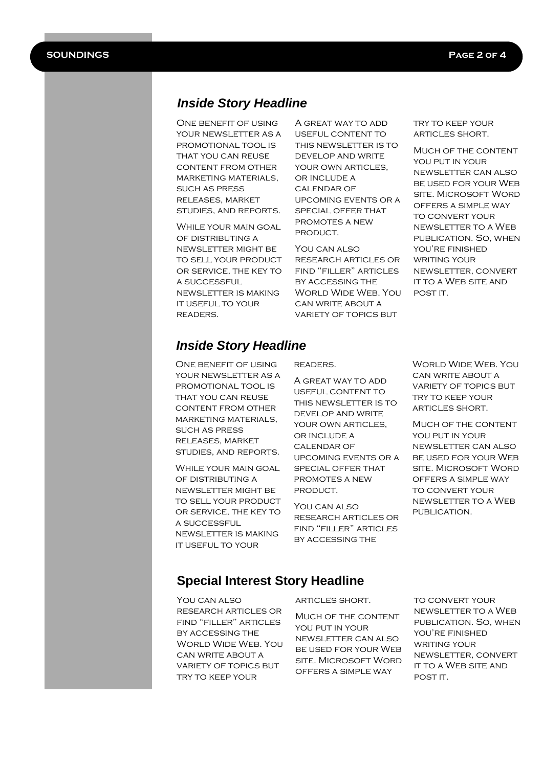#### *Inside Story Headline*

ONE BENEFIT OF USING your newsletter as a promotional tool is that you can reuse content from other marketing materials, such as press releases, market studies, and reports.

While your main goal of distributing a newsletter might be to sell your product or service, the key to a successful newsletter is making it useful to your READERS.

A great way to add useful content to THIS NEWSLETTER IS TO develop and write your own articles, or include a calendar of upcoming events or a special offer that promotes a new product.

YOU CAN ALSO research articles or find "filler" articles by accessing the World Wide Web. You can write about a variety of topics but

try to keep your articles short.

Much of the content you put in your newsletter can also be used for your Web site. Microsoft Word offers a simple way to convert your newsletter to a Web publication. So, when YOU'RE FINISHED WRITING YOUR newsletter, convert it to a Web site and post it.

## *Inside Story Headline*

ONE BENEFIT OF USING your newsletter as a promotional tool is that you can reuse content from other marketing materials, such as press releases, market studies, and reports.

While your main goal of distributing a newsletter might be to sell your product or service, the key to a successful newsletter is making it useful to your

readers.

A great way to add useful content to THIS NEWSLETTER IS TO develop and write your own articles, OR INCLUDE A calendar of upcoming events or a special offer that promotes a new PRODUCT.

YOU CAN ALSO research articles or find "filler" articles by accessing the

World Wide Web. You can write about a variety of topics but try to keep your articles short.

Much of the content you put in your newsletter can also be used for your Web site. Microsoft Word offers a simple way to convert your newsletter to a Web PUBLICATION.

## **Special Interest Story Headline**

YOU CAN ALSO research articles or find "filler" articles by accessing the World Wide Web. You can write about a variety of topics but try to keep your

articles short.

Much of the content you put in your newsletter can also be used for your Web site. Microsoft Word offers a simple way

to convert your newsletter to a Web publication. So, when you're finished WRITING YOUR newsletter, convert it to a Web site and post it.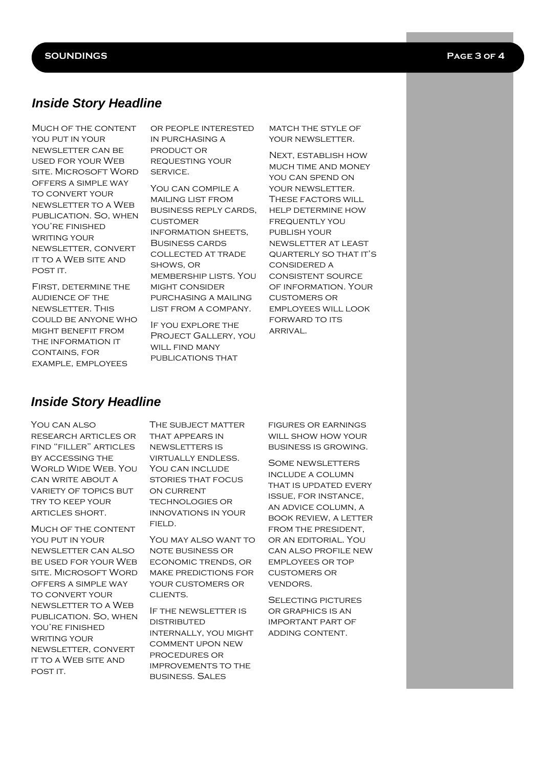#### *Inside Story Headline*

Much of the content you put in your newsletter can be used for your Web site. Microsoft Word offers a simple way TO CONVERT YOUR newsletter to a Web publication. So, when YOU'RE FINISHED WRITING YOUR newsletter, convert it to a Web site and POST IT.

First, determine the audience of the newsletter. This could be anyone who might benefit from the information it contains, for example, employees

or people interested in purchasing a product or requesting your **SERVICE** 

YOU CAN COMPILE A mailing list from business reply cards, **CUSTOMER** information sheets, Business cards collected at trade shows, or membership lists. You might consider purchasing a mailing list from a company.

If you explore the Project Gallery, you WILL FIND MANY publications that

MATCH THE STYLE OF YOUR NEWSLETTER.

Next, establish how much time and money you can spend on YOUR NEWSLETTER. These factors will help determine how frequently you publish your newsletter at least quarterly so that it's considered a consistent source of information. Your customers or employees will look forward to its arrival.

#### *Inside Story Headline*

YOU CAN ALSO research articles or find "filler" articles by accessing the World Wide Web. You can write about a variety of topics but try to keep your articles short.

Much of the content you put in your newsletter can also be used for your Web site. Microsoft Word offers a simple way to convert your newsletter to a Web publication. So, when YOU'RE FINISHED **WRITING YOUR** newsletter, convert it to a Web site and post it.

The subject matter that appears in newsletters is virtually endless. YOU CAN INCLUDE stories that focus ON CURRENT technologies or innovations in your FIELD.

YOU MAY ALSO WANT TO note business or economic trends, or make predictions for your customers or clients.

If the newsletter is **DISTRIBUTED** internally, you might comment upon new procedures or improvements to the business. Sales

figures or earnings WILL SHOW HOW YOUR business is growing.

SOME NEWSLETTERS include a column THAT IS UPDATED EVERY issue, for instance, an advice column, a book review, a letter from the president, or an editorial. You can also profile new employees or top customers or vendors.

SELECTING PICTURES or graphics is an important part of adding content.